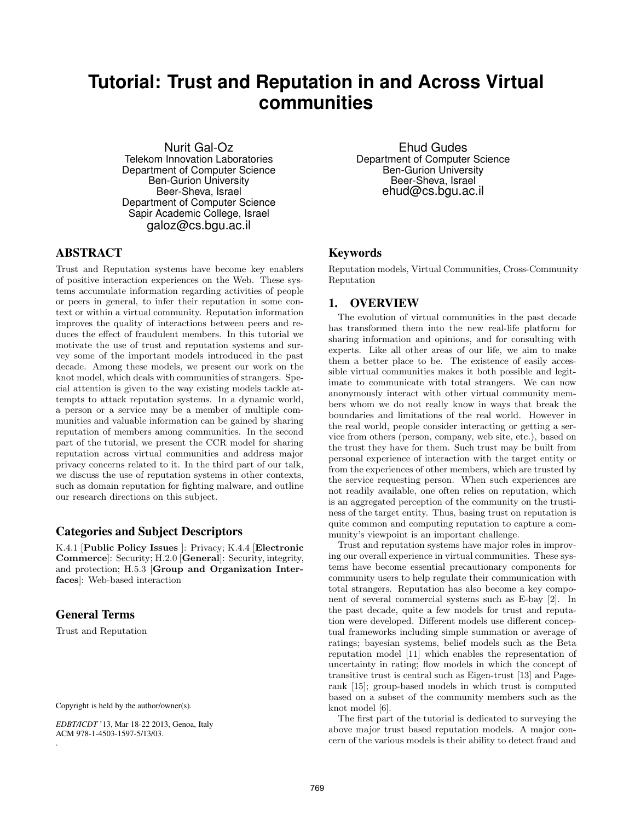# **Tutorial: Trust and Reputation in and Across Virtual communities**

Nurit Gal-Oz Telekom Innovation Laboratories Department of Computer Science Ben-Gurion University Beer-Sheva, Israel Department of Computer Science Sapir Academic College, Israel galoz@cs.bgu.ac.il

# ABSTRACT

Trust and Reputation systems have become key enablers of positive interaction experiences on the Web. These systems accumulate information regarding activities of people or peers in general, to infer their reputation in some context or within a virtual community. Reputation information improves the quality of interactions between peers and reduces the effect of fraudulent members. In this tutorial we motivate the use of trust and reputation systems and survey some of the important models introduced in the past decade. Among these models, we present our work on the knot model, which deals with communities of strangers. Special attention is given to the way existing models tackle attempts to attack reputation systems. In a dynamic world, a person or a service may be a member of multiple communities and valuable information can be gained by sharing reputation of members among communities. In the second part of the tutorial, we present the CCR model for sharing reputation across virtual communities and address major privacy concerns related to it. In the third part of our talk, we discuss the use of reputation systems in other contexts, such as domain reputation for fighting malware, and outline our research directions on this subject.

## Categories and Subject Descriptors

K.4.1 [Public Policy Issues ]: Privacy; K.4.4 [Electronic Commerce]: Security; H.2.0 [General]: Security, integrity, and protection; H.5.3 [Group and Organization Interfaces]: Web-based interaction

## General Terms

.

Trust and Reputation

Copyright is held by the author/owner(s).

*EDBT/ICDT* '13, Mar 18-22 2013, Genoa, Italy ACM 978-1-4503-1597-5/13/03.

Ehud Gudes Department of Computer Science Ben-Gurion University Beer-Sheva, Israel ehud@cs.bgu.ac.il

## Keywords

Reputation models, Virtual Communities, Cross-Community Reputation

#### 1. OVERVIEW

The evolution of virtual communities in the past decade has transformed them into the new real-life platform for sharing information and opinions, and for consulting with experts. Like all other areas of our life, we aim to make them a better place to be. The existence of easily accessible virtual communities makes it both possible and legitimate to communicate with total strangers. We can now anonymously interact with other virtual community members whom we do not really know in ways that break the boundaries and limitations of the real world. However in the real world, people consider interacting or getting a service from others (person, company, web site, etc.), based on the trust they have for them. Such trust may be built from personal experience of interaction with the target entity or from the experiences of other members, which are trusted by the service requesting person. When such experiences are not readily available, one often relies on reputation, which is an aggregated perception of the community on the trustiness of the target entity. Thus, basing trust on reputation is quite common and computing reputation to capture a community's viewpoint is an important challenge.

Trust and reputation systems have major roles in improving our overall experience in virtual communities. These systems have become essential precautionary components for community users to help regulate their communication with total strangers. Reputation has also become a key component of several commercial systems such as E-bay [2]. In the past decade, quite a few models for trust and reputation were developed. Different models use different conceptual frameworks including simple summation or average of ratings; bayesian systems, belief models such as the Beta reputation model [11] which enables the representation of uncertainty in rating; flow models in which the concept of transitive trust is central such as Eigen-trust [13] and Pagerank [15]; group-based models in which trust is computed based on a subset of the community members such as the knot model [6].

The first part of the tutorial is dedicated to surveying the above major trust based reputation models. A major concern of the various models is their ability to detect fraud and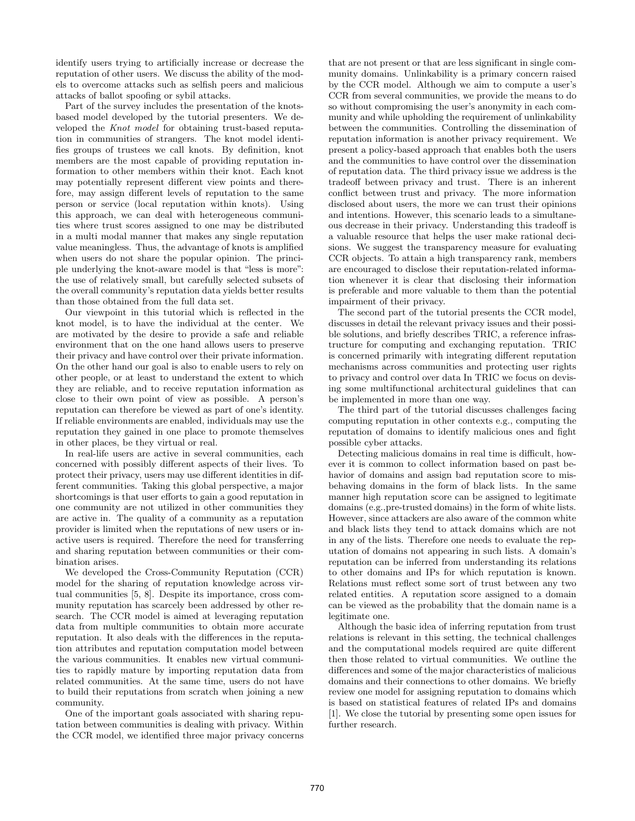identify users trying to artificially increase or decrease the reputation of other users. We discuss the ability of the models to overcome attacks such as selfish peers and malicious attacks of ballot spoofing or sybil attacks.

Part of the survey includes the presentation of the knotsbased model developed by the tutorial presenters. We developed the *Knot model* for obtaining trust-based reputation in communities of strangers. The knot model identifies groups of trustees we call knots. By definition, knot members are the most capable of providing reputation information to other members within their knot. Each knot may potentially represent different view points and therefore, may assign different levels of reputation to the same person or service (local reputation within knots). Using this approach, we can deal with heterogeneous communities where trust scores assigned to one may be distributed in a multi modal manner that makes any single reputation value meaningless. Thus, the advantage of knots is amplified when users do not share the popular opinion. The principle underlying the knot-aware model is that "less is more": the use of relatively small, but carefully selected subsets of the overall community's reputation data yields better results than those obtained from the full data set.

Our viewpoint in this tutorial which is reflected in the knot model, is to have the individual at the center. We are motivated by the desire to provide a safe and reliable environment that on the one hand allows users to preserve their privacy and have control over their private information. On the other hand our goal is also to enable users to rely on other people, or at least to understand the extent to which they are reliable, and to receive reputation information as close to their own point of view as possible. A person's reputation can therefore be viewed as part of one's identity. If reliable environments are enabled, individuals may use the reputation they gained in one place to promote themselves in other places, be they virtual or real.

In real-life users are active in several communities, each concerned with possibly different aspects of their lives. To protect their privacy, users may use different identities in different communities. Taking this global perspective, a major shortcomings is that user efforts to gain a good reputation in one community are not utilized in other communities they are active in. The quality of a community as a reputation provider is limited when the reputations of new users or inactive users is required. Therefore the need for transferring and sharing reputation between communities or their combination arises.

We developed the Cross-Community Reputation (CCR) model for the sharing of reputation knowledge across virtual communities [5, 8]. Despite its importance, cross community reputation has scarcely been addressed by other research. The CCR model is aimed at leveraging reputation data from multiple communities to obtain more accurate reputation. It also deals with the differences in the reputation attributes and reputation computation model between the various communities. It enables new virtual communities to rapidly mature by importing reputation data from related communities. At the same time, users do not have to build their reputations from scratch when joining a new community.

One of the important goals associated with sharing reputation between communities is dealing with privacy. Within the CCR model, we identified three major privacy concerns

that are not present or that are less significant in single community domains. Unlinkability is a primary concern raised by the CCR model. Although we aim to compute a user's CCR from several communities, we provide the means to do so without compromising the user's anonymity in each community and while upholding the requirement of unlinkability between the communities. Controlling the dissemination of reputation information is another privacy requirement. We present a policy-based approach that enables both the users and the communities to have control over the dissemination of reputation data. The third privacy issue we address is the tradeoff between privacy and trust. There is an inherent conflict between trust and privacy. The more information disclosed about users, the more we can trust their opinions and intentions. However, this scenario leads to a simultaneous decrease in their privacy. Understanding this tradeoff is a valuable resource that helps the user make rational decisions. We suggest the transparency measure for evaluating CCR objects. To attain a high transparency rank, members are encouraged to disclose their reputation-related information whenever it is clear that disclosing their information is preferable and more valuable to them than the potential impairment of their privacy.

The second part of the tutorial presents the CCR model, discusses in detail the relevant privacy issues and their possible solutions, and briefly describes TRIC, a reference infrastructure for computing and exchanging reputation. TRIC is concerned primarily with integrating different reputation mechanisms across communities and protecting user rights to privacy and control over data In TRIC we focus on devising some multifunctional architectural guidelines that can be implemented in more than one way.

The third part of the tutorial discusses challenges facing computing reputation in other contexts e.g., computing the reputation of domains to identify malicious ones and fight possible cyber attacks.

Detecting malicious domains in real time is difficult, however it is common to collect information based on past behavior of domains and assign bad reputation score to misbehaving domains in the form of black lists. In the same manner high reputation score can be assigned to legitimate domains (e.g.,pre-trusted domains) in the form of white lists. However, since attackers are also aware of the common white and black lists they tend to attack domains which are not in any of the lists. Therefore one needs to evaluate the reputation of domains not appearing in such lists. A domain's reputation can be inferred from understanding its relations to other domains and IPs for which reputation is known. Relations must reflect some sort of trust between any two related entities. A reputation score assigned to a domain can be viewed as the probability that the domain name is a legitimate one.

Although the basic idea of inferring reputation from trust relations is relevant in this setting, the technical challenges and the computational models required are quite different then those related to virtual communities. We outline the differences and some of the major characteristics of malicious domains and their connections to other domains. We briefly review one model for assigning reputation to domains which is based on statistical features of related IPs and domains [1]. We close the tutorial by presenting some open issues for further research.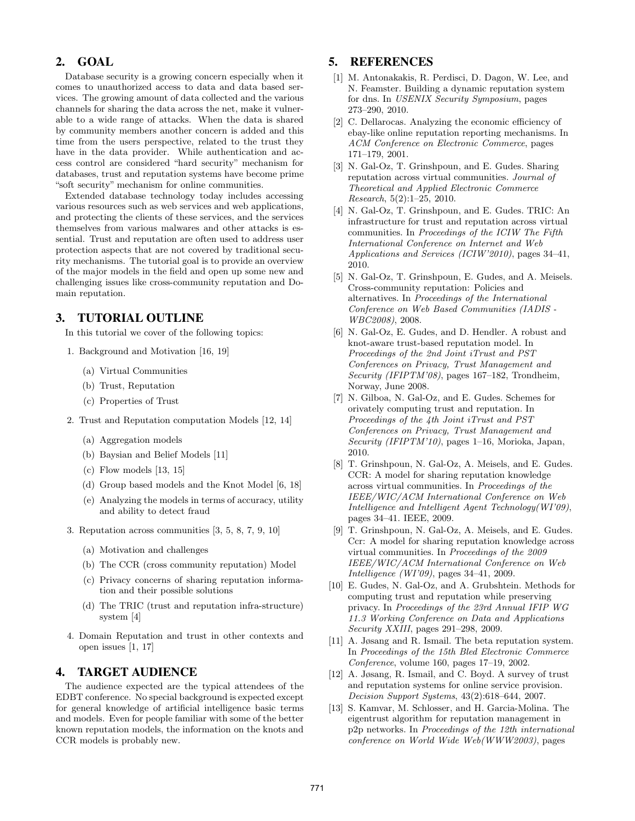## 2. GOAL

Database security is a growing concern especially when it comes to unauthorized access to data and data based services. The growing amount of data collected and the various channels for sharing the data across the net, make it vulnerable to a wide range of attacks. When the data is shared by community members another concern is added and this time from the users perspective, related to the trust they have in the data provider. While authentication and access control are considered "hard security" mechanism for databases, trust and reputation systems have become prime "soft security" mechanism for online communities.

Extended database technology today includes accessing various resources such as web services and web applications, and protecting the clients of these services, and the services themselves from various malwares and other attacks is essential. Trust and reputation are often used to address user protection aspects that are not covered by traditional security mechanisms. The tutorial goal is to provide an overview of the major models in the field and open up some new and challenging issues like cross-community reputation and Domain reputation.

# 3. TUTORIAL OUTLINE

In this tutorial we cover of the following topics:

- 1. Background and Motivation [16, 19]
	- (a) Virtual Communities
	- (b) Trust, Reputation
	- (c) Properties of Trust
- 2. Trust and Reputation computation Models [12, 14]
	- (a) Aggregation models
	- (b) Baysian and Belief Models [11]
	- (c) Flow models [13, 15]
	- (d) Group based models and the Knot Model [6, 18]
	- (e) Analyzing the models in terms of accuracy, utility and ability to detect fraud
- 3. Reputation across communities [3, 5, 8, 7, 9, 10]
	- (a) Motivation and challenges
	- (b) The CCR (cross community reputation) Model
	- (c) Privacy concerns of sharing reputation information and their possible solutions
	- (d) The TRIC (trust and reputation infra-structure) system [4]
- 4. Domain Reputation and trust in other contexts and open issues [1, 17]

#### 4. TARGET AUDIENCE

The audience expected are the typical attendees of the EDBT conference. No special background is expected except for general knowledge of artificial intelligence basic terms and models. Even for people familiar with some of the better known reputation models, the information on the knots and CCR models is probably new.

# 5. REFERENCES

- [1] M. Antonakakis, R. Perdisci, D. Dagon, W. Lee, and N. Feamster. Building a dynamic reputation system for dns. In *USENIX Security Symposium*, pages 273–290, 2010.
- [2] C. Dellarocas. Analyzing the economic efficiency of ebay-like online reputation reporting mechanisms. In *ACM Conference on Electronic Commerce*, pages 171–179, 2001.
- [3] N. Gal-Oz, T. Grinshpoun, and E. Gudes. Sharing reputation across virtual communities. *Journal of Theoretical and Applied Electronic Commerce Research*, 5(2):1–25, 2010.
- [4] N. Gal-Oz, T. Grinshpoun, and E. Gudes. TRIC: An infrastructure for trust and reputation across virtual communities. In *Proceedings of the ICIW The Fifth International Conference on Internet and Web Applications and Services (ICIW'2010)*, pages 34–41, 2010.
- [5] N. Gal-Oz, T. Grinshpoun, E. Gudes, and A. Meisels. Cross-community reputation: Policies and alternatives. In *Proceedings of the International Conference on Web Based Communities (IADIS - WBC2008)*, 2008.
- [6] N. Gal-Oz, E. Gudes, and D. Hendler. A robust and knot-aware trust-based reputation model. In *Proceedings of the 2nd Joint iTrust and PST Conferences on Privacy, Trust Management and Security (IFIPTM'08)*, pages 167–182, Trondheim, Norway, June 2008.
- [7] N. Gilboa, N. Gal-Oz, and E. Gudes. Schemes for orivately computing trust and reputation. In *Proceedings of the 4th Joint iTrust and PST Conferences on Privacy, Trust Management and Security (IFIPTM'10)*, pages 1–16, Morioka, Japan, 2010.
- [8] T. Grinshpoun, N. Gal-Oz, A. Meisels, and E. Gudes. CCR: A model for sharing reputation knowledge across virtual communities. In *Proceedings of the IEEE/WIC/ACM International Conference on Web Intelligence and Intelligent Agent Technology(WI'09)*, pages 34–41. IEEE, 2009.
- [9] T. Grinshpoun, N. Gal-Oz, A. Meisels, and E. Gudes. Ccr: A model for sharing reputation knowledge across virtual communities. In *Proceedings of the 2009 IEEE/WIC/ACM International Conference on Web Intelligence (WI'09)*, pages 34–41, 2009.
- [10] E. Gudes, N. Gal-Oz, and A. Grubshtein. Methods for computing trust and reputation while preserving privacy. In *Proceedings of the 23rd Annual IFIP WG 11.3 Working Conference on Data and Applications Security XXIII*, pages 291–298, 2009.
- [11] A. Jøsang and R. Ismail. The beta reputation system. In *Proceedings of the 15th Bled Electronic Commerce Conference*, volume 160, pages 17–19, 2002.
- [12] A. Jøsang, R. Ismail, and C. Boyd. A survey of trust and reputation systems for online service provision. *Decision Support Systems*, 43(2):618–644, 2007.
- [13] S. Kamvar, M. Schlosser, and H. Garcia-Molina. The eigentrust algorithm for reputation management in p2p networks. In *Proceedings of the 12th international conference on World Wide Web(WWW2003)*, pages